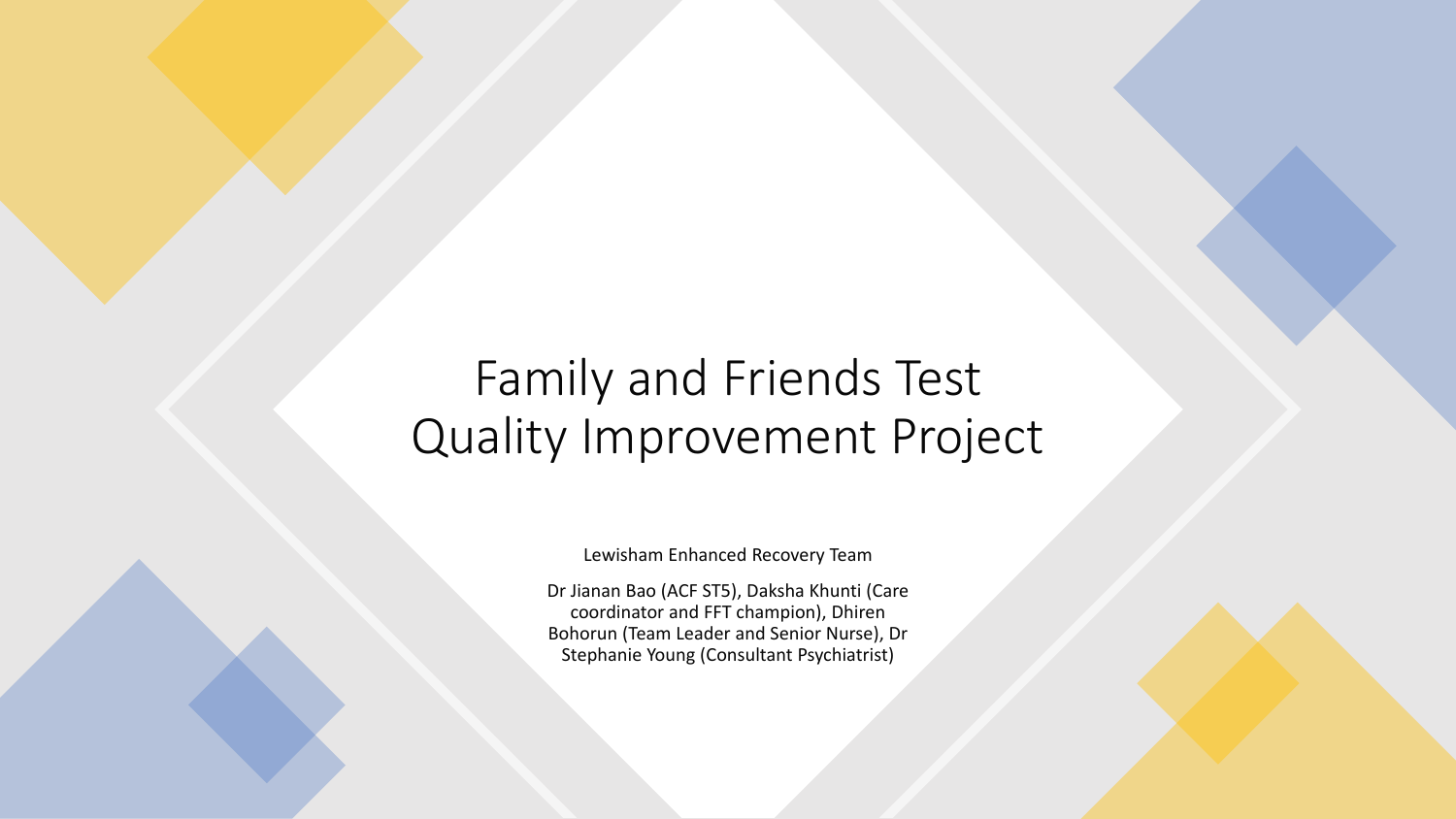### Family and Friends Test Quality Improvement Project

Lewisham Enhanced Recovery Team

Dr Jianan Bao (ACF ST5), Daksha Khunti (Care coordinator and FFT champion), Dhiren Bohorun (Team Leader and Senior Nurse), Dr Stephanie Young (Consultant Psychiatrist)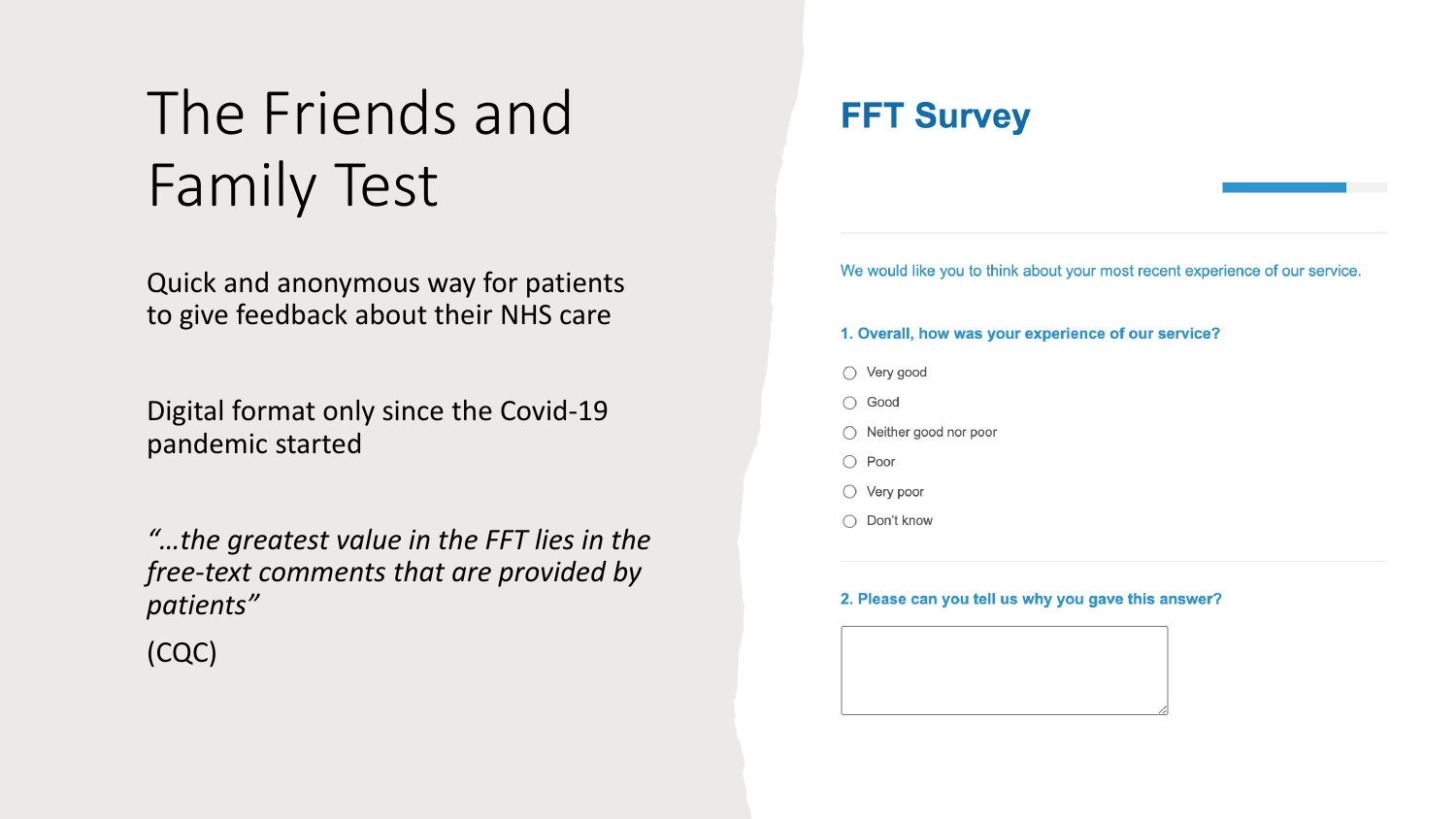## The Friends and Family Test

Quick and anonymous way for patients to give feedback about their NHS care

Digital format only since the Covid-19 pandemic started

*"…the greatest value in the FFT lies in the free-text comments that are provided by patients"*

(CQC)

### **FFT Survey**

We would like you to think about your most recent experience of our service.

1. Overall, how was your experience of our service?

- $\bigcirc$  Very good
- Good  $\bigcap$
- $\bigcap$  Neither good nor poor
- $\bigcap$  Poor
- $\bigcirc$  Very poor
- ◯ Don't know

#### 2. Please can you tell us why you gave this answer?

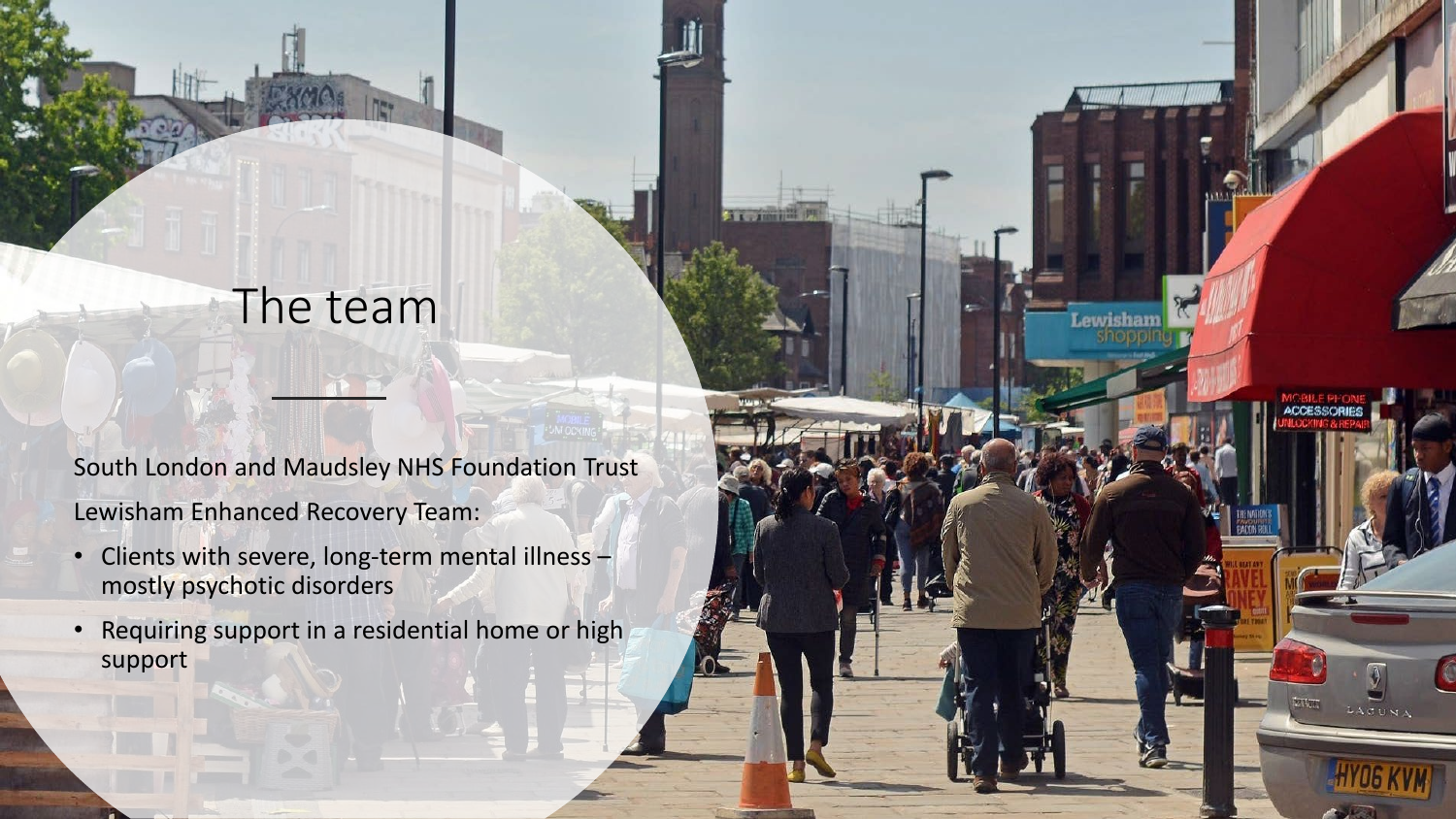### The team

ewishan

South London and Maudsley NHS Foundation Trust Lewisham Enhanced Recovery Team:

- Clients with severe, long-term mental illness mostly psychotic disorders
- Requiring support in a residential home or high support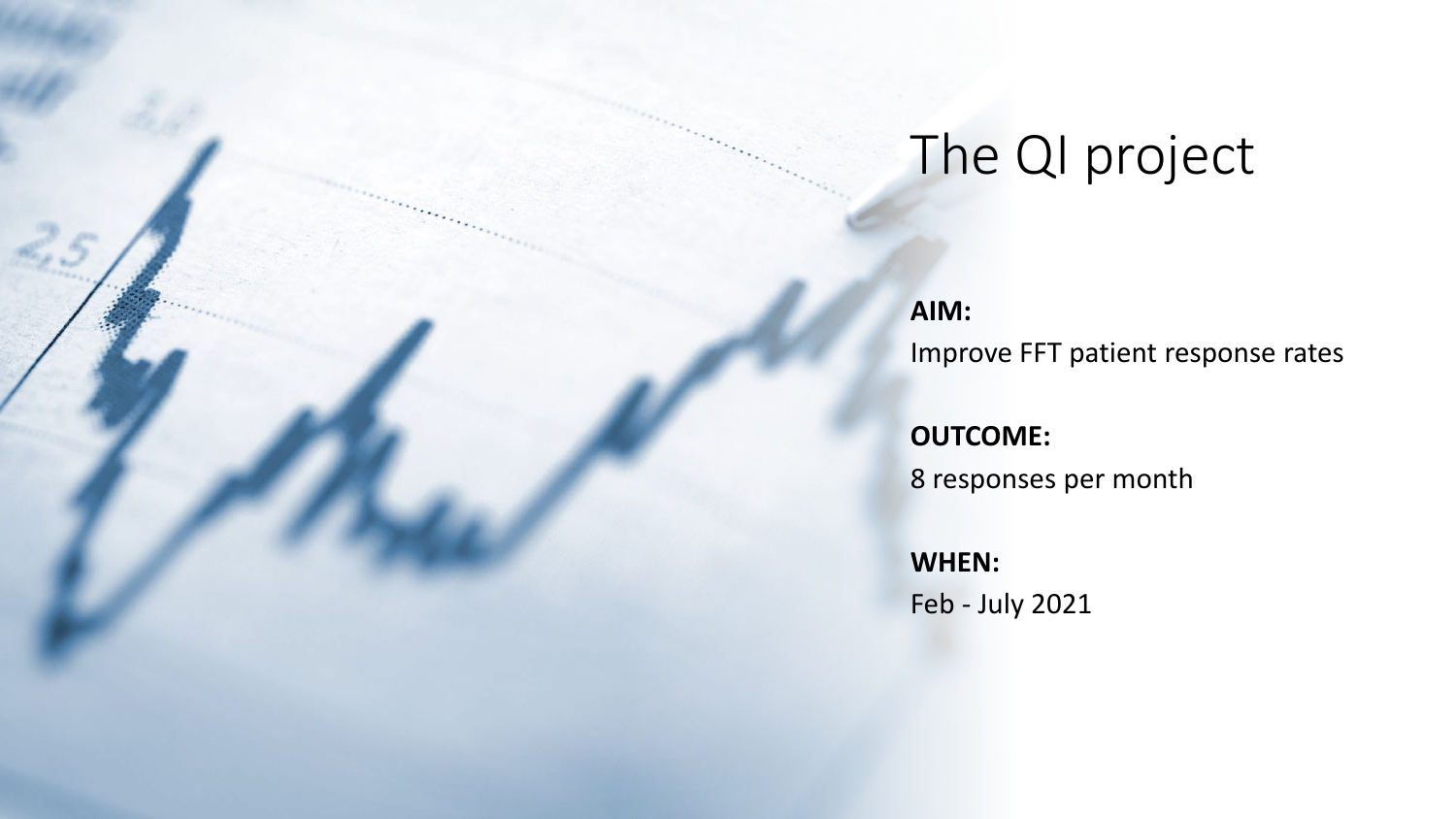### The QI project

#### **AIM:**

Improve FFT patient response rates

**OUTCOME:**  8 responses per month

**WHEN:** Feb - July 2021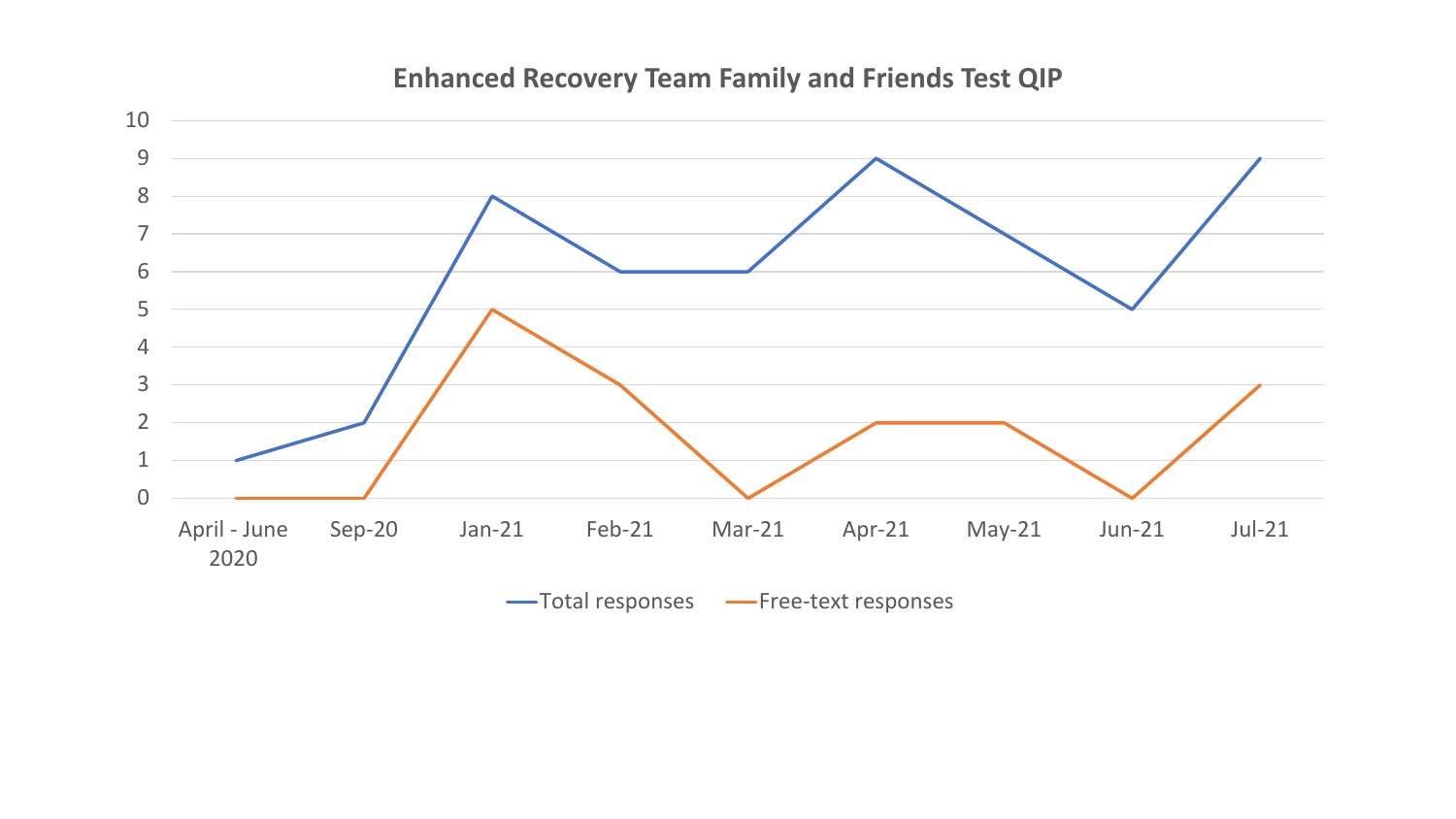

-Total responses - Free-text responses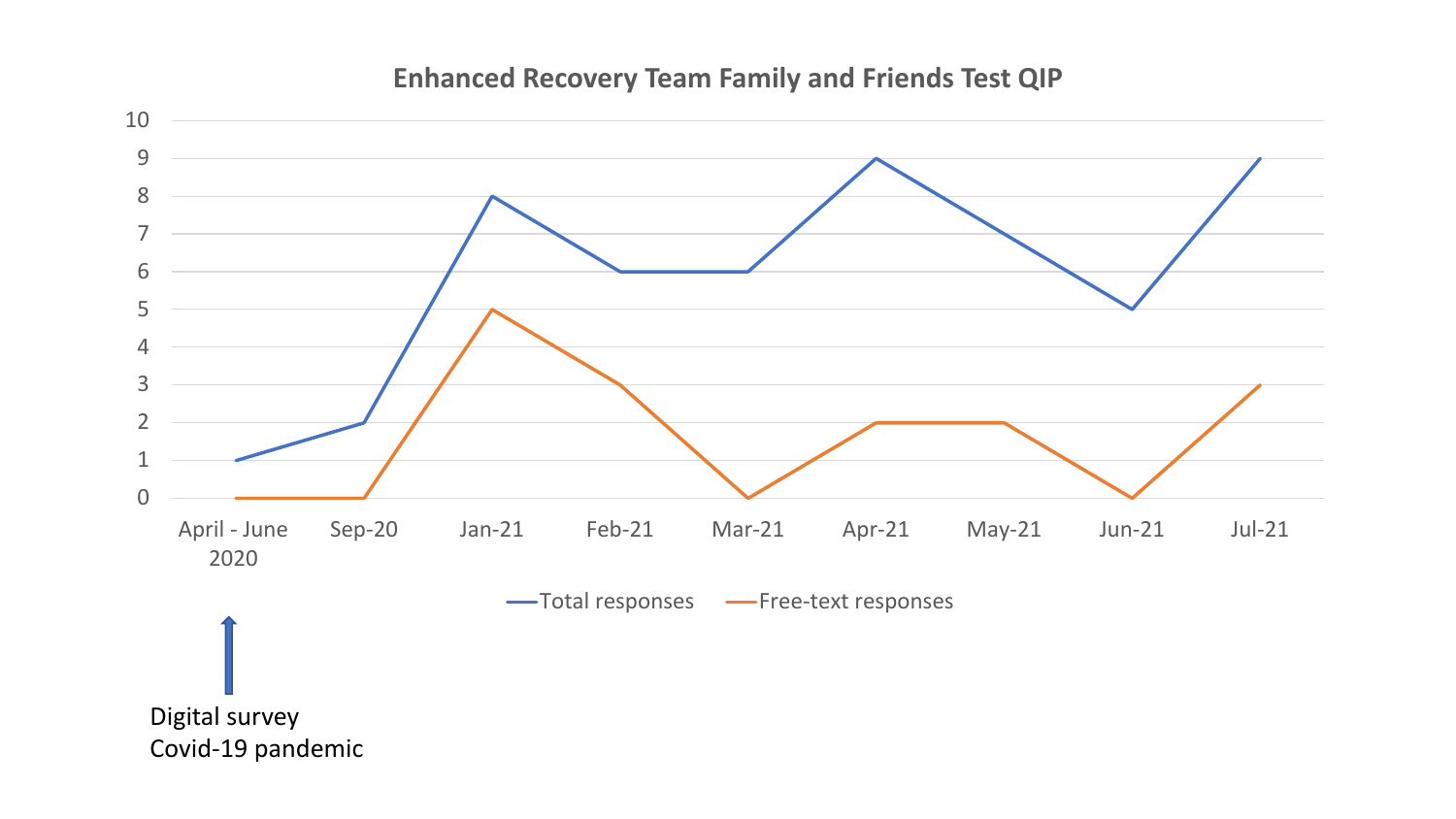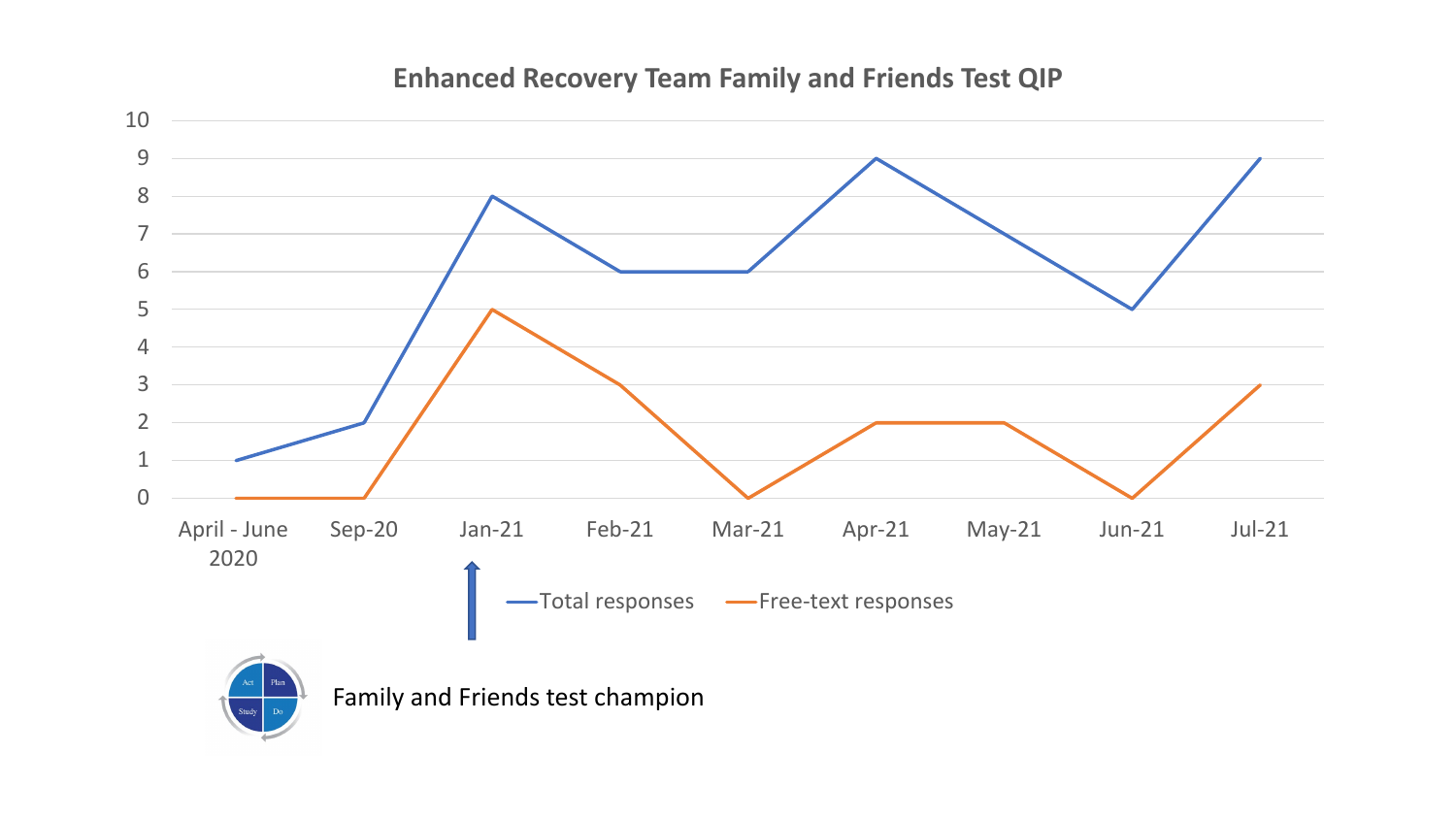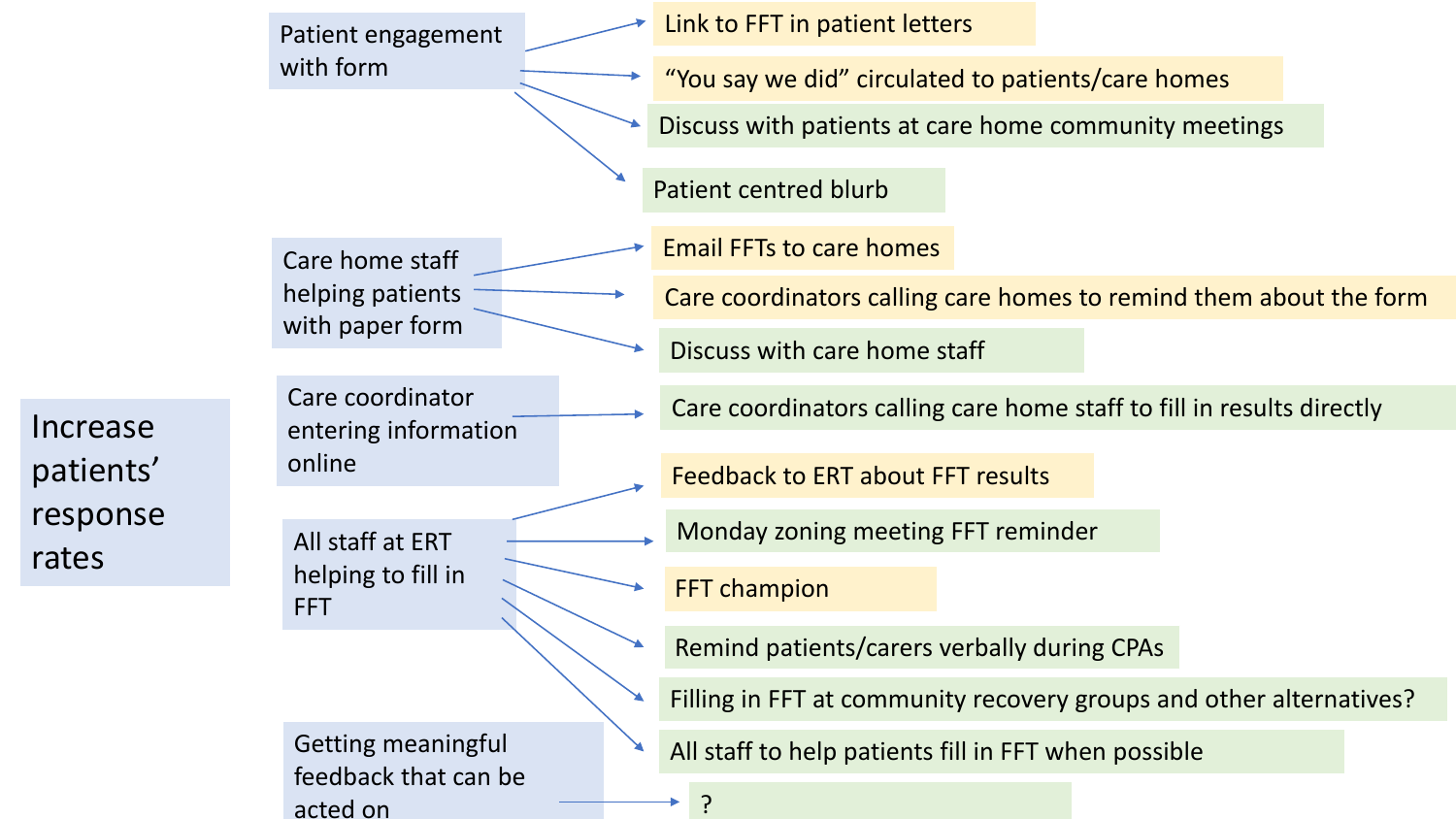

rates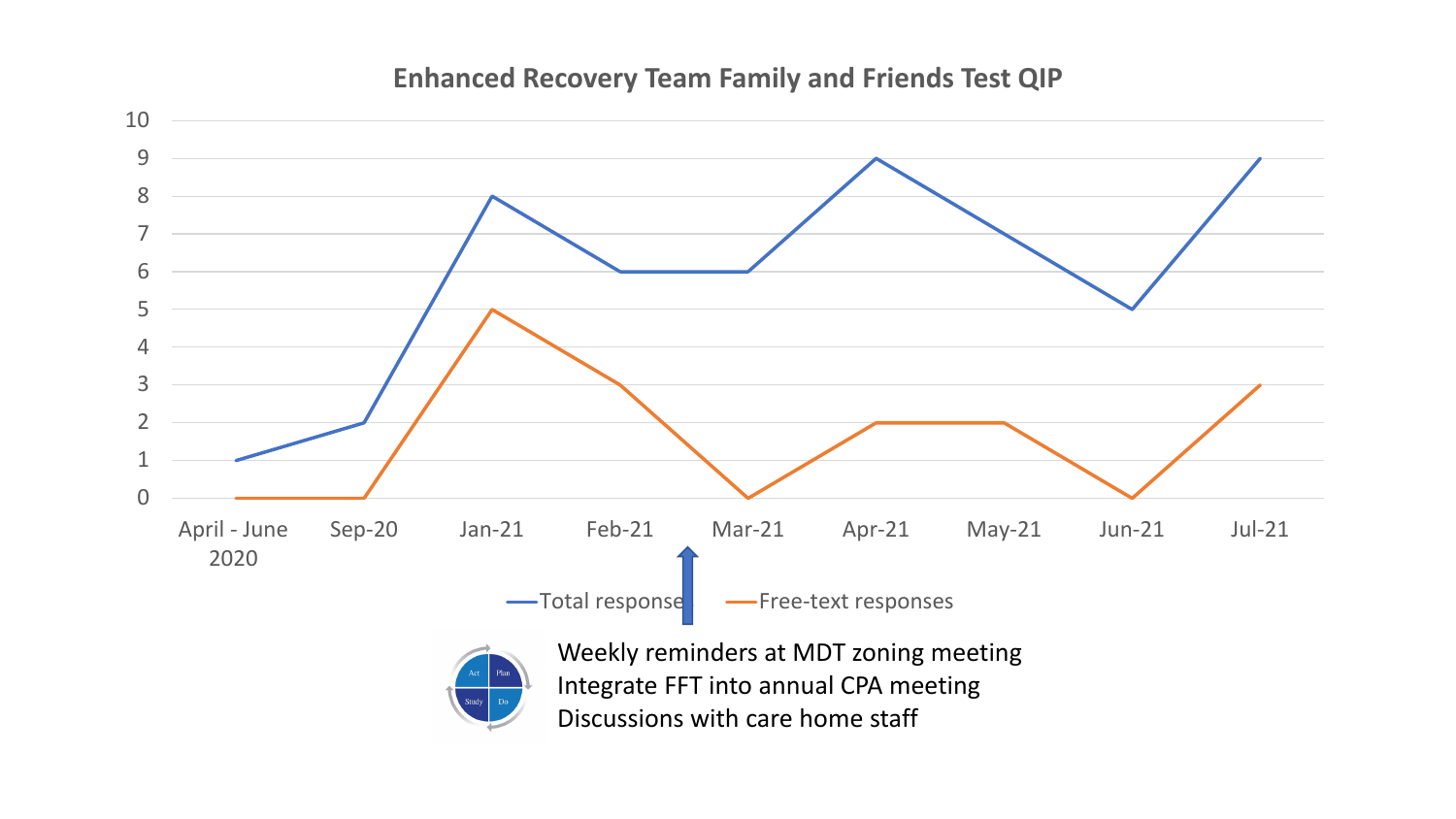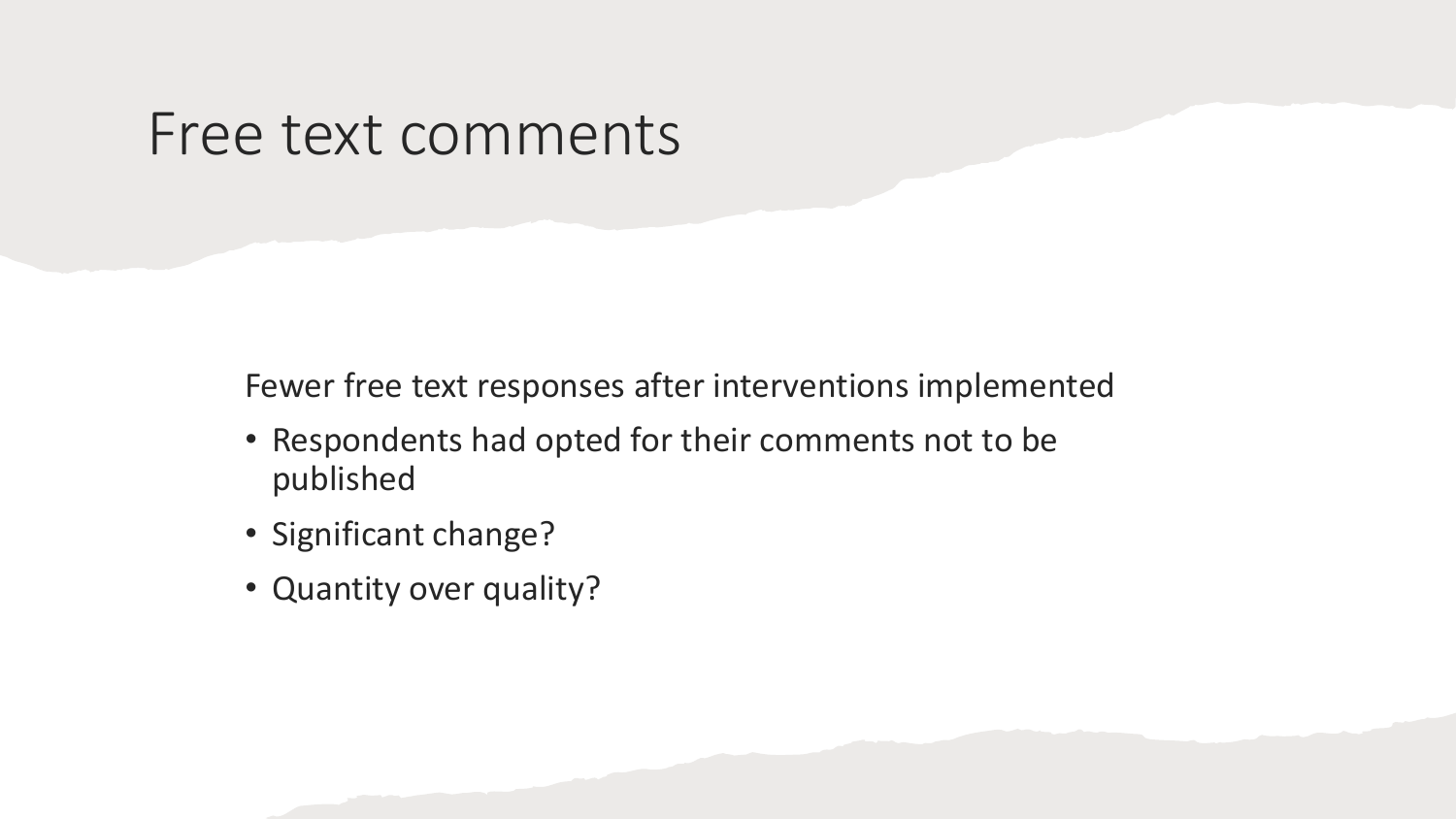### Free text comments

Fewer free text responses after interventions implemented

- Respondents had opted for their comments not to be published
- Significant change?
- Quantity over quality?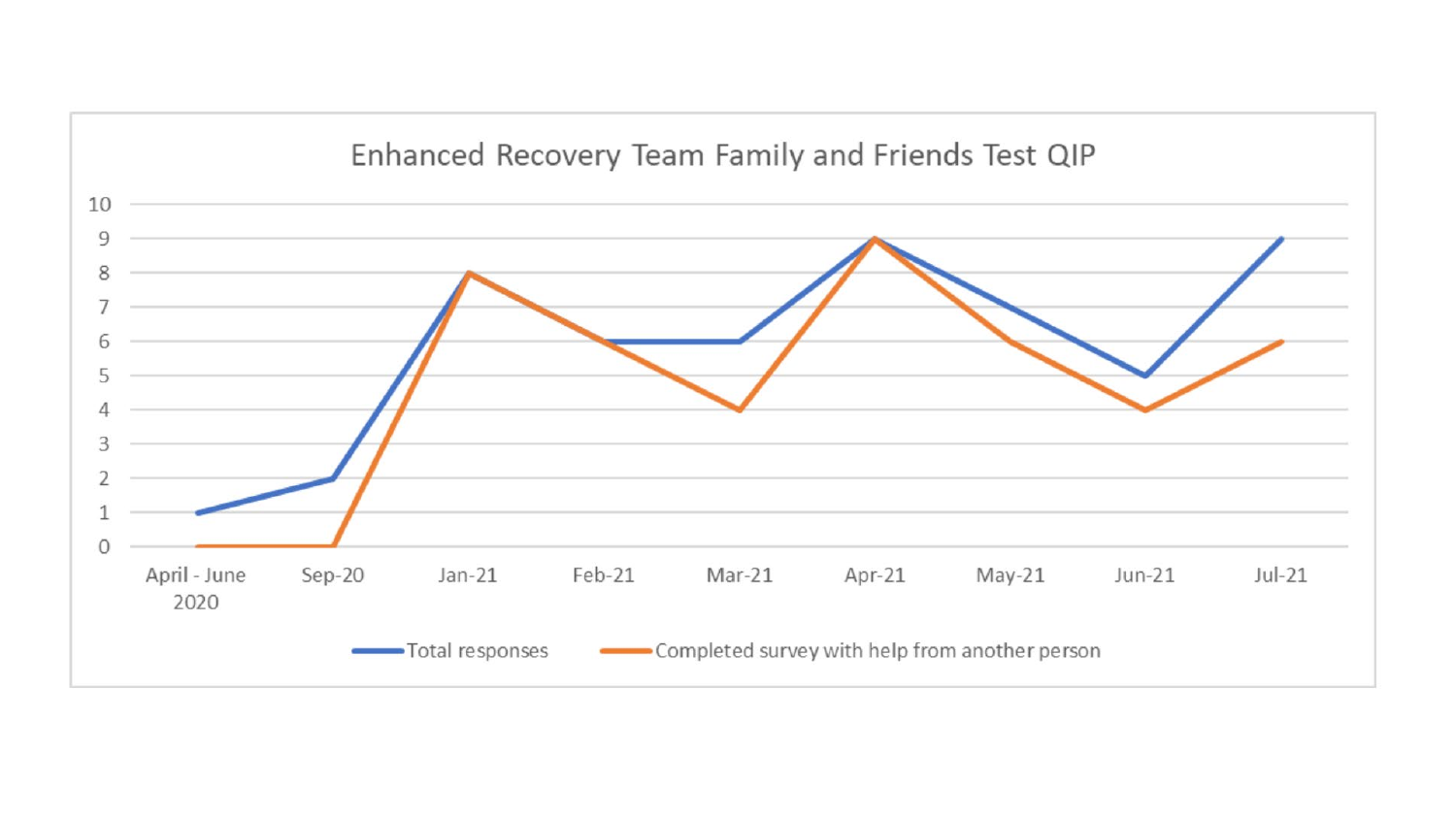